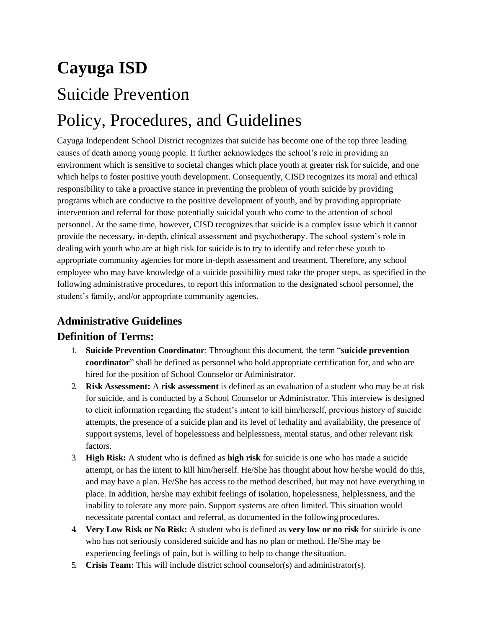# **Cayuga ISD** Suicide Prevention Policy, Procedures, and Guidelines

Cayuga Independent School District recognizes that suicide has become one of the top three leading causes of death among young people. It further acknowledges the school's role in providing an environment which is sensitive to societal changes which place youth at greater risk for suicide, and one which helps to foster positive youth development. Consequently, CISD recognizes its moral and ethical responsibility to take a proactive stance in preventing the problem of youth suicide by providing programs which are conducive to the positive development of youth, and by providing appropriate intervention and referral for those potentially suicidal youth who come to the attention of school personnel. At the same time, however, CISD recognizes that suicide is a complex issue which it cannot provide the necessary, in-depth, clinical assessment and psychotherapy. The school system's role in dealing with youth who are at high risk for suicide is to try to identify and refer these youth to appropriate community agencies for more in-depth assessment and treatment. Therefore, any school employee who may have knowledge of a suicide possibility must take the proper steps, as specified in the following administrative procedures, to report this information to the designated school personnel, the student's family, and/or appropriate community agencies.

## **Administrative Guidelines**

### **Definition of Terms:**

- 1. **Suicide Prevention Coordinator**: Throughout this document, the term "**suicide prevention coordinator**" shall be defined as personnel who hold appropriate certification for, and who are hired for the position of School Counselor or Administrator.
- 2. **Risk Assessment:** A **risk assessment** is defined as an evaluation of a student who may be at risk for suicide, and is conducted by a School Counselor or Administrator. This interview is designed to elicit information regarding the student's intent to kill him/herself, previous history of suicide attempts, the presence of a suicide plan and its level of lethality and availability, the presence of support systems, level of hopelessness and helplessness, mental status, and other relevant risk factors.
- 3. **High Risk:** A student who is defined as **high risk** for suicide is one who has made a suicide attempt, or has the intent to kill him/herself. He/She has thought about how he/she would do this, and may have a plan. He/She has access to the method described, but may not have everything in place. In addition, he/she may exhibit feelings of isolation, hopelessness, helplessness, and the inability to tolerate any more pain. Support systems are often limited. This situation would necessitate parental contact and referral, as documented in the following procedures.
- 4. **Very Low Risk or No Risk:** A student who is defined as **very low or no risk** for suicide is one who has not seriously considered suicide and has no plan or method. He/She may be experiencing feelings of pain, but is willing to help to change the situation.
- 5. **Crisis Team:** This will include district school counselor(s) and administrator(s).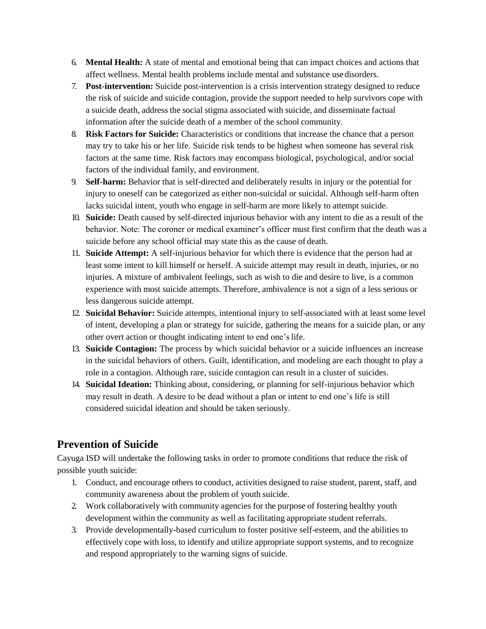- 6. **Mental Health:** A state of mental and emotional being that can impact choices and actions that affect wellness. Mental health problems include mental and substance usedisorders.
- 7. **Post-intervention:** Suicide post-intervention is a crisis intervention strategy designed to reduce the risk of suicide and suicide contagion, provide the support needed to help survivors cope with a suicide death, address the social stigma associated with suicide, and disseminate factual information after the suicide death of a member of the school community.
- 8. **Risk Factors for Suicide:** Characteristics or conditions that increase the chance that a person may try to take his or her life. Suicide risk tends to be highest when someone has several risk factors at the same time. Risk factors may encompass biological, psychological, and/or social factors of the individual family, and environment.
- 9. **Self-harm:** Behavior that is self-directed and deliberately results in injury or the potential for injury to oneself can be categorized as either non-suicidal or suicidal. Although self-harm often lacks suicidal intent, youth who engage in self-harm are more likely to attempt suicide.
- 10. **Suicide:** Death caused by self-directed injurious behavior with any intent to die as a result of the behavior. Note: The coroner or medical examiner's officer must first confirm that the death was a suicide before any school official may state this as the cause of death.
- 11. **Suicide Attempt:** A self-injurious behavior for which there is evidence that the person had at least some intent to kill himself or herself. A suicide attempt may result in death, injuries, or no injuries. A mixture of ambivalent feelings, such as wish to die and desire to live, is a common experience with most suicide attempts. Therefore, ambivalence is not a sign of a less serious or less dangerous suicide attempt.
- 12. **Suicidal Behavior:** Suicide attempts, intentional injury to self-associated with at least some level of intent, developing a plan or strategy for suicide, gathering the means for a suicide plan, or any other overt action or thought indicating intent to end one's life.
- 13. **Suicide Contagion:** The process by which suicidal behavior or a suicide influences an increase in the suicidal behaviors of others. Guilt, identification, and modeling are each thought to play a role in a contagion. Although rare, suicide contagion can result in a cluster of suicides.
- 14. **Suicidal Ideation:** Thinking about, considering, or planning for self-injurious behavior which may result in death. A desire to be dead without a plan or intent to end one's life is still considered suicidal ideation and should be taken seriously.

## **Prevention of Suicide**

Cayuga ISD will undertake the following tasks in order to promote conditions that reduce the risk of possible youth suicide:

- 1. Conduct, and encourage others to conduct, activities designed to raise student, parent, staff, and community awareness about the problem of youth suicide.
- 2. Work collaboratively with community agencies for the purpose of fostering healthy youth development within the community as well as facilitating appropriate student referrals.
- 3. Provide developmentally-based curriculum to foster positive self-esteem, and the abilities to effectively cope with loss, to identify and utilize appropriate support systems, and to recognize and respond appropriately to the warning signs of suicide.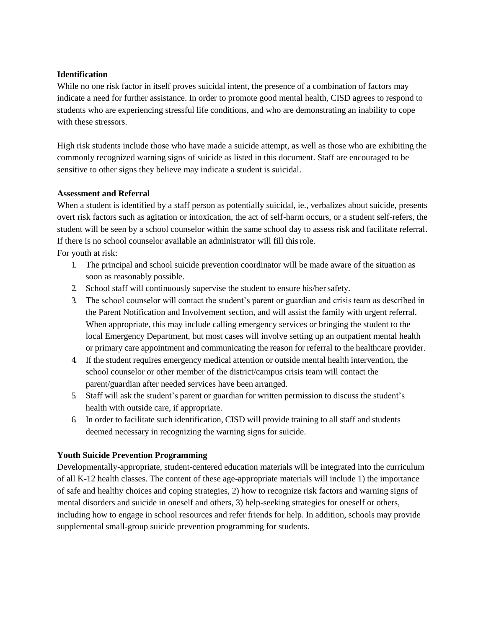#### **Identification**

While no one risk factor in itself proves suicidal intent, the presence of a combination of factors may indicate a need for further assistance. In order to promote good mental health, CISD agrees to respond to students who are experiencing stressful life conditions, and who are demonstrating an inability to cope with these stressors.

High risk students include those who have made a suicide attempt, as well as those who are exhibiting the commonly recognized warning signs of suicide as listed in this document. Staff are encouraged to be sensitive to other signs they believe may indicate a student is suicidal.

#### **Assessment and Referral**

When a student is identified by a staff person as potentially suicidal, ie., verbalizes about suicide, presents overt risk factors such as agitation or intoxication, the act of self-harm occurs, or a student self-refers, the student will be seen by a school counselor within the same school day to assess risk and facilitate referral. If there is no school counselor available an administrator will fill thisrole.

For youth at risk:

- 1. The principal and school suicide prevention coordinator will be made aware of the situation as soon as reasonably possible.
- 2. School staff will continuously supervise the student to ensure his/her safety.
- 3. The school counselor will contact the student's parent or guardian and crisis team as described in the Parent Notification and Involvement section, and will assist the family with urgent referral. When appropriate, this may include calling emergency services or bringing the student to the local Emergency Department, but most cases will involve setting up an outpatient mental health or primary care appointment and communicating the reason for referral to the healthcare provider.
- 4. If the student requires emergency medical attention or outside mental health intervention, the school counselor or other member of the district/campus crisis team will contact the parent/guardian after needed services have been arranged.
- 5. Staff will ask the student's parent or guardian for written permission to discuss the student's health with outside care, if appropriate.
- 6. In order to facilitate such identification, CISD will provide training to all staff and students deemed necessary in recognizing the warning signs for suicide.

#### **Youth Suicide Prevention Programming**

Developmentally-appropriate, student-centered education materials will be integrated into the curriculum of all K-12 health classes. The content of these age-appropriate materials will include 1) the importance of safe and healthy choices and coping strategies, 2) how to recognize risk factors and warning signs of mental disorders and suicide in oneself and others, 3) help-seeking strategies for oneself or others, including how to engage in school resources and refer friends for help. In addition, schools may provide supplemental small-group suicide prevention programming for students.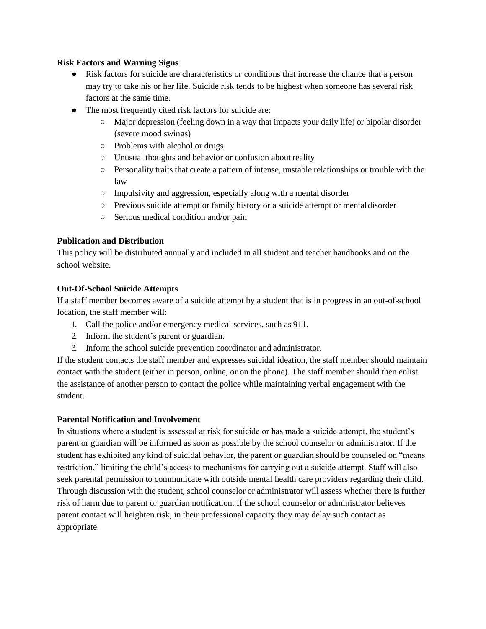#### **Risk Factors and Warning Signs**

- Risk factors for suicide are characteristics or conditions that increase the chance that a person may try to take his or her life. Suicide risk tends to be highest when someone has several risk factors at the same time.
- The most frequently cited risk factors for suicide are:
	- Major depression (feeling down in a way that impacts your daily life) or bipolar disorder (severe mood swings)
	- Problems with alcohol or drugs
	- Unusual thoughts and behavior or confusion about reality
	- Personality traits that create a pattern of intense, unstable relationships or trouble with the law
	- Impulsivity and aggression, especially along with a mental disorder
	- Previous suicide attempt or family history or a suicide attempt or mentaldisorder
	- Serious medical condition and/or pain

#### **Publication and Distribution**

This policy will be distributed annually and included in all student and teacher handbooks and on the school website.

#### **Out-Of-School Suicide Attempts**

If a staff member becomes aware of a suicide attempt by a student that is in progress in an out-of-school location, the staff member will:

- 1. Call the police and/or emergency medical services, such as 911.
- 2. Inform the student's parent or guardian.
- 3. Inform the school suicide prevention coordinator and administrator.

If the student contacts the staff member and expresses suicidal ideation, the staff member should maintain contact with the student (either in person, online, or on the phone). The staff member should then enlist the assistance of another person to contact the police while maintaining verbal engagement with the student.

#### **Parental Notification and Involvement**

In situations where a student is assessed at risk for suicide or has made a suicide attempt, the student's parent or guardian will be informed as soon as possible by the school counselor or administrator. If the student has exhibited any kind of suicidal behavior, the parent or guardian should be counseled on "means restriction," limiting the child's access to mechanisms for carrying out a suicide attempt. Staff will also seek parental permission to communicate with outside mental health care providers regarding their child. Through discussion with the student, school counselor or administrator will assess whether there is further risk of harm due to parent or guardian notification. If the school counselor or administrator believes parent contact will heighten risk, in their professional capacity they may delay such contact as appropriate.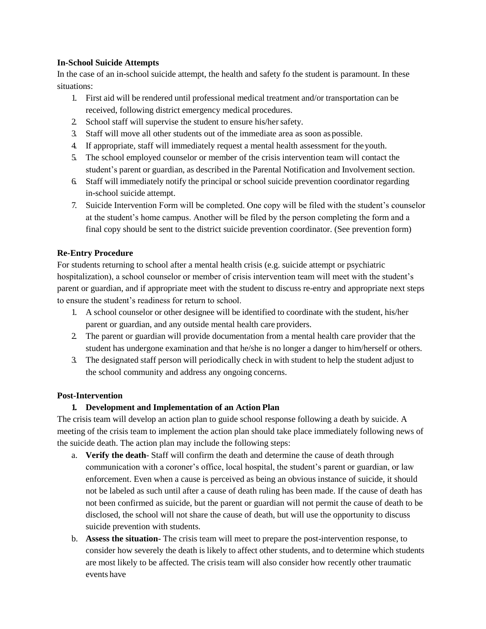#### **In-School Suicide Attempts**

In the case of an in-school suicide attempt, the health and safety fo the student is paramount. In these situations:

- 1. First aid will be rendered until professional medical treatment and/or transportation can be received, following district emergency medical procedures.
- 2. School staff will supervise the student to ensure his/her safety.
- 3. Staff will move all other students out of the immediate area as soon as possible.
- 4. If appropriate, staff will immediately request a mental health assessment for theyouth.
- 5. The school employed counselor or member of the crisis intervention team will contact the student's parent or guardian, as described in the Parental Notification and Involvement section.
- 6. Staff will immediately notify the principal or school suicide prevention coordinator regarding in-school suicide attempt.
- 7. Suicide Intervention Form will be completed. One copy will be filed with the student's counselor at the student's home campus. Another will be filed by the person completing the form and a final copy should be sent to the district suicide prevention coordinator. (See prevention form)

#### **Re-Entry Procedure**

For students returning to school after a mental health crisis (e.g. suicide attempt or psychiatric hospitalization), a school counselor or member of crisis intervention team will meet with the student's parent or guardian, and if appropriate meet with the student to discuss re-entry and appropriate next steps to ensure the student's readiness for return to school.

- 1. A school counselor or other designee will be identified to coordinate with the student, his/her parent or guardian, and any outside mental health care providers.
- 2. The parent or guardian will provide documentation from a mental health care provider that the student has undergone examination and that he/she is no longer a danger to him/herself or others.
- 3. The designated staff person will periodically check in with student to help the student adjust to the school community and address any ongoing concerns.

#### **Post-Intervention**

#### **1. Development and Implementation of an Action Plan**

The crisis team will develop an action plan to guide school response following a death by suicide. A meeting of the crisis team to implement the action plan should take place immediately following news of the suicide death. The action plan may include the following steps:

- a. **Verify the death** Staff will confirm the death and determine the cause of death through communication with a coroner's office, local hospital, the student's parent or guardian, or law enforcement. Even when a cause is perceived as being an obvious instance of suicide, it should not be labeled as such until after a cause of death ruling has been made. If the cause of death has not been confirmed as suicide, but the parent or guardian will not permit the cause of death to be disclosed, the school will not share the cause of death, but will use the opportunity to discuss suicide prevention with students.
- b. **Assess the situation** The crisis team will meet to prepare the post-intervention response, to consider how severely the death is likely to affect other students, and to determine which students are most likely to be affected. The crisis team will also consider how recently other traumatic events have